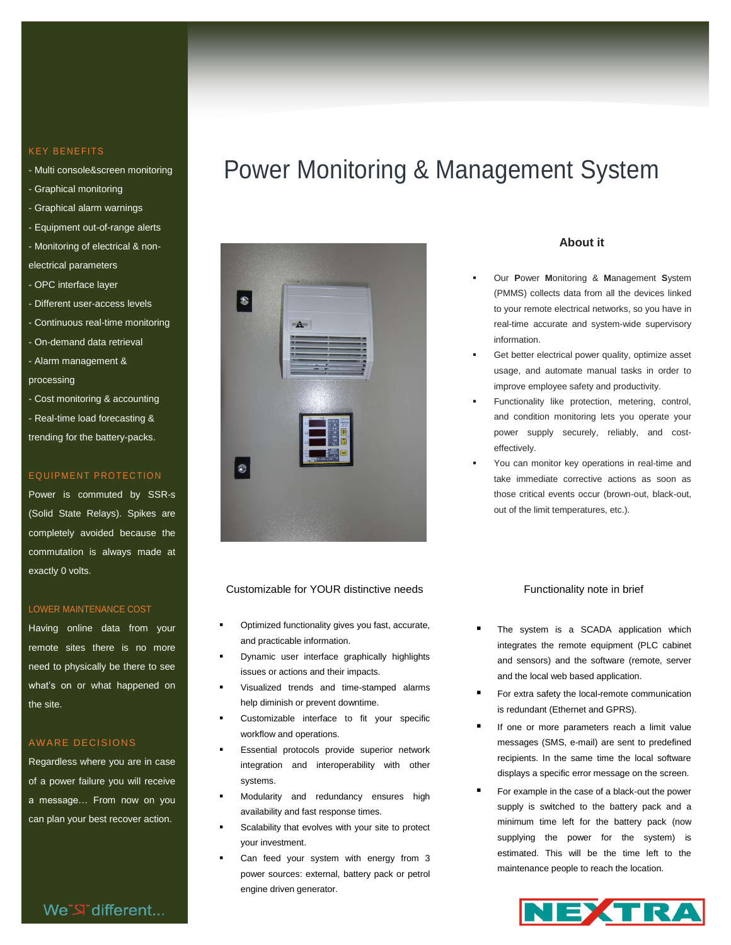### **KEY BENEFITS**

- Multi console&screen monitoring
- Graphical monitoring
- Graphical alarm warnings
- Equipment out-of-range alerts
- Monitoring of electrical & non-
- electrical parameters
- OPC interface layer
- Different user-access levels
- Continuous real-time monitoring
- On-demand data retrieval
- Alarm management & processing
- Cost monitoring & accounting - Real-time load forecasting & trending for the battery-packs.

### EQUIPMENT PROTECTION

Power is commuted by SSR-s (Solid State Relays). Spikes are completely avoided because the commutation is always made at exactly 0 volts.

### LOWER MAINTENANCE COST

Having online data from your remote sites there is no more need to physically be there to see what's on or what happened on the site.

### AW ARE DECISIONS

Regardless where you are in case of a power failure you will receive a message... From now on you can plan your best recover action.

### We"S" different...

# Power Monitoring & Management System



### Customizable for YOUR distinctive needs

- Optimized functionality gives you fast, accurate, and practicable information.
- Dynamic user interface graphically highlights issues or actions and their impacts.
- Visualized trends and time-stamped alarms help diminish or prevent downtime.
- Customizable interface to fit your specific workflow and operations.
- Essential protocols provide superior network integration and interoperability with other systems.
- Modularity and redundancy ensures high availability and fast response times.
- Scalability that evolves with your site to protect your investment.
- Can feed your system with energy from 3 power sources: external, battery pack or petrol engine driven generator.

### **About it**

- Our **P**ower **M**onitoring & **M**anagement **S**ystem (PMMS) collects data from all the devices linked to your remote electrical networks, so you have in real-time accurate and system-wide supervisory information.
- Get better electrical power quality, optimize asset usage, and automate manual tasks in order to improve employee safety and productivity.
- Functionality like protection, metering, control, and condition monitoring lets you operate your power supply securely, reliably, and costeffectively.
- You can monitor key operations in real-time and take immediate corrective actions as soon as those critical events occur (brown-out, black-out, out of the limit temperatures, etc.).

#### Functionality note in brief

- The system is a SCADA application which integrates the remote equipment (PLC cabinet and sensors) and the software (remote, server and the local web based application.
- For extra safety the local-remote communication is redundant (Ethernet and GPRS).
- If one or more parameters reach a limit value messages (SMS, e-mail) are sent to predefined recipients. In the same time the local software displays a specific error message on the screen.
- For example in the case of a black-out the power supply is switched to the battery pack and a minimum time left for the battery pack (now supplying the power for the system) is estimated. This will be the time left to the maintenance people to reach the location.

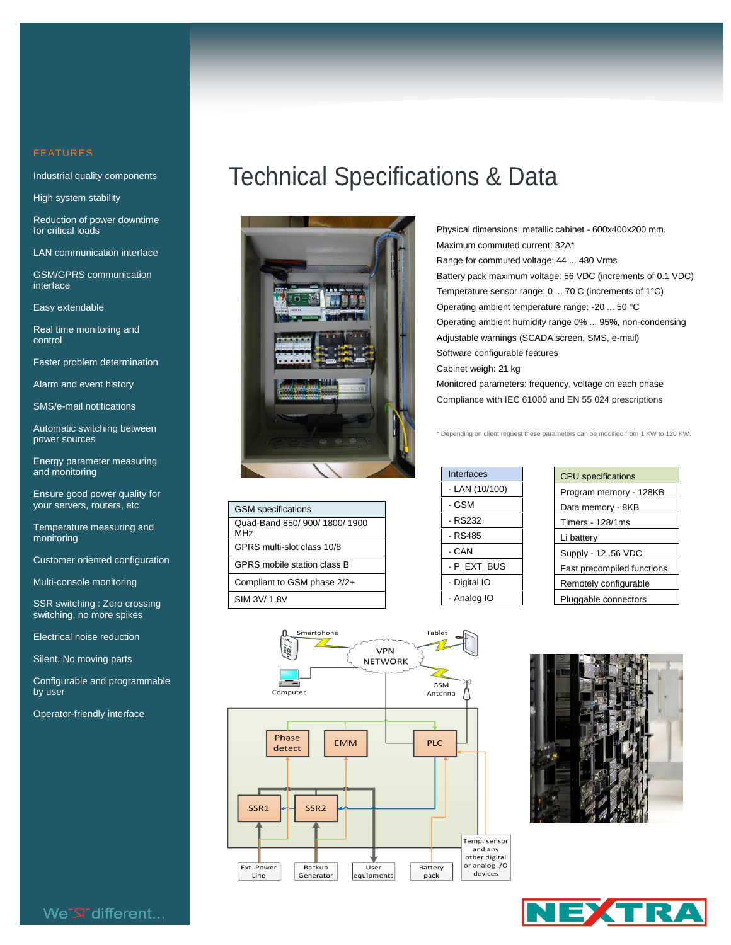Industrial quality components

High system stability

Reduction of power downtime for critical loads

LAN communication interface

GSM/GPRS communication interface

Easy extendable

Real time monitoring and control

Faster problem determination

Alarm and event history

SMS/e-mail notifications

Automatic switching between power sources

Energy parameter measuring and monitoring

Ensure good power quality for your servers, routers, etc

Temperature measuring and monitoring

Customer oriented configuration

Multi-console monitoring

SSR switching : Zero crossing switching, no more spikes

Electrical noise reduction

Silent. No moving parts

Configurable and programmable by user

Operator-friendly interface

# Technical Specifications & Data



| <b>GSM</b> specifications                               |
|---------------------------------------------------------|
| Quad-Band 850/ 900/ 1800/ 1900<br><b>MH<sub>7</sub></b> |
| GPRS multi-slot class 10/8                              |
| GPRS mobile station class B                             |
| Compliant to GSM phase 2/2+                             |
| SIM 3V/ 1.8V                                            |
|                                                         |

Physical dimensions: metallic cabinet - 600x400x200 mm. Maximum commuted current: 32A\* Range for commuted voltage: 44 ... 480 Vrms Battery pack maximum voltage: 56 VDC (increments of 0.1 VDC) Temperature sensor range: 0 ... 70 C (increments of 1°C) Operating ambient temperature range: -20 ... 50 °C Operating ambient humidity range 0% ... 95%, non-condensing Adjustable warnings (SCADA screen, SMS, e-mail) Software configurable features Cabinet weigh: 21 kg Monitored parameters: frequency, voltage on each phase Compliance with IEC 61000 and EN 55 024 prescriptions

\* Depending on client request these parameters can be modified from 1 KW to 120 KW.

| Interfaces     |
|----------------|
| - LAN (10/100) |
| - GSM          |
| - RS232        |
| - RS485        |
| - CAN          |
| - P EXT BUS    |
| - Digital IO   |
| - Analog IO    |